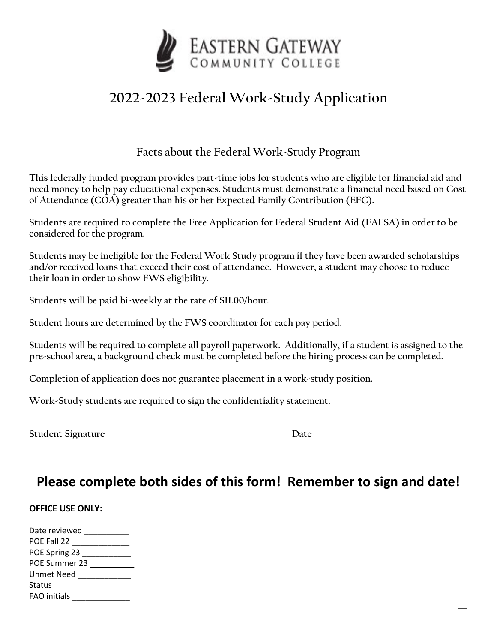

## **2022-2023 Federal Work-Study Application**

## **Facts about the Federal Work-Study Program**

**This federally funded program provides part-time jobs for students who are eligible for financial aid and need money to help pay educational expenses. Students must demonstrate a financial need based on Cost of Attendance (COA) greater than his or her Expected Family Contribution (EFC).** 

**Students are required to complete the Free Application for Federal Student Aid (FAFSA) in order to be considered for the program.** 

**Students may be ineligible for the Federal Work Study program if they have been awarded scholarships and/or received loans that exceed their cost of attendance. However, a student may choose to reduce their loan in order to show FWS eligibility.**

**Students will be paid bi-weekly at the rate of \$11.00/hour.** 

**Student hours are determined by the FWS coordinator for each pay period.**

**Students will be required to complete all payroll paperwork. Additionally, if a student is assigned to the pre-school area, a background check must be completed before the hiring process can be completed.**

**Completion of application does not guarantee placement in a work-study position.** 

**Work-Study students are required to sign the confidentiality statement.** 

**Student Signature** Date of the Date of the Date of the Date of the Date of the Date of the Date of the Date of the Date of the Date of the Date of the Date of the Date of the Date of the Date of the Date of the Date of th

| Date |
|------|
|      |

**\_\_\_**

## **Please complete both sides of this form! Remember to sign and date!**

## **OFFICE USE ONLY:**

| Date reviewed       |
|---------------------|
| POE Fall 22         |
| POE Spring 23       |
| POE Summer 23       |
| Unmet Need          |
| <b>Status</b>       |
| <b>FAO</b> initials |